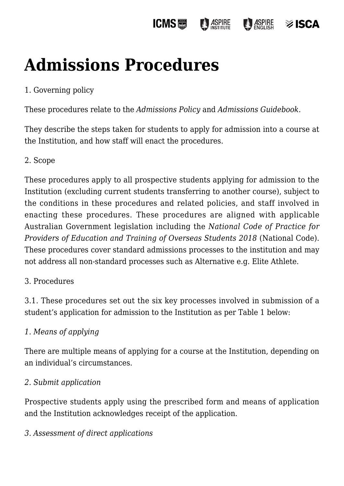#### **ICMS**圖 **ASPIRE ASPIRE** ≫ ISCA

# **[Admissions Procedures](https://policies.icms.edu.au/admissions-procedures/)**

## 1. Governing policy

These procedures relate to the *Admissions Policy* and *Admissions Guidebook*.

They describe the steps taken for students to apply for admission into a course at the Institution, and how staff will enact the procedures.

### 2. Scope

These procedures apply to all prospective students applying for admission to the Institution (excluding current students transferring to another course), subject to the conditions in these procedures and related policies, and staff involved in enacting these procedures. These procedures are aligned with applicable Australian Government legislation including the *National Code of Practice for Providers of Education and Training of Overseas Students 2018* (National Code). These procedures cover standard admissions processes to the institution and may not address all non-standard processes such as Alternative e.g. Elite Athlete.

### 3. Procedures

3.1. These procedures set out the six key processes involved in submission of a student's application for admission to the Institution as per Table 1 below:

### *1. Means of applying*

There are multiple means of applying for a course at the Institution, depending on an individual's circumstances.

### *2. Submit application*

Prospective students apply using the prescribed form and means of application and the Institution acknowledges receipt of the application.

### *3. Assessment of direct applications*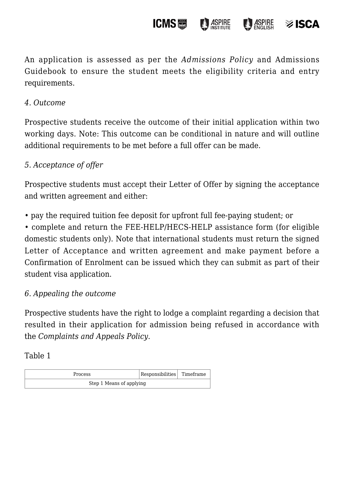An application is assessed as per the *Admissions Policy* and Admissions Guidebook to ensure the student meets the eligibility criteria and entry requirements.

**ICMS**圖

**ASPIRE** 

**ASPIRE** 

 $\otimes$  ISCA

#### *4. Outcome*

Prospective students receive the outcome of their initial application within two working days. Note: This outcome can be conditional in nature and will outline additional requirements to be met before a full offer can be made.

#### *5. Acceptance of offer*

Prospective students must accept their Letter of Offer by signing the acceptance and written agreement and either:

• pay the required tuition fee deposit for upfront full fee-paying student; or

• complete and return the FEE-HELP/HECS-HELP assistance form (for eligible domestic students only). Note that international students must return the signed Letter of Acceptance and written agreement and make payment before a Confirmation of Enrolment can be issued which they can submit as part of their student visa application.

#### *6. Appealing the outcome*

Prospective students have the right to lodge a complaint regarding a decision that resulted in their application for admission being refused in accordance with the *Complaints and Appeals Policy*.

Table 1

| <b>Process</b>           | Responsibilities Timeframe |  |
|--------------------------|----------------------------|--|
| Step 1 Means of applying |                            |  |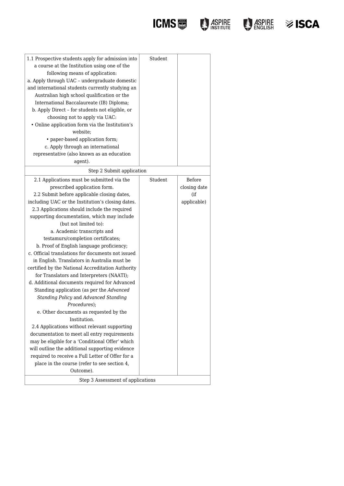

| i≫ ISCA |
|---------|
|         |

| 1.1 Prospective students apply for admission into<br>a course at the Institution using one of the<br>following means of application:<br>a. Apply through UAC - undergraduate domestic<br>and international students currently studying an<br>Australian high school qualification or the<br>International Baccalaureate (IB) Diploma;<br>b. Apply Direct - for students not eligible, or<br>choosing not to apply via UAC:<br>• Online application form via the Institution's<br>website;<br>• paper-based application form;<br>c. Apply through an international<br>representative (also known as an education<br>agent).                                                                                                                                                                                                                                                                                                                                                                                                                                                                                                                                              | Student |                                              |
|-------------------------------------------------------------------------------------------------------------------------------------------------------------------------------------------------------------------------------------------------------------------------------------------------------------------------------------------------------------------------------------------------------------------------------------------------------------------------------------------------------------------------------------------------------------------------------------------------------------------------------------------------------------------------------------------------------------------------------------------------------------------------------------------------------------------------------------------------------------------------------------------------------------------------------------------------------------------------------------------------------------------------------------------------------------------------------------------------------------------------------------------------------------------------|---------|----------------------------------------------|
| Step 2 Submit application                                                                                                                                                                                                                                                                                                                                                                                                                                                                                                                                                                                                                                                                                                                                                                                                                                                                                                                                                                                                                                                                                                                                               |         |                                              |
| 2.1 Applications must be submitted via the<br>prescribed application form.<br>2.2 Submit before applicable closing dates,<br>including UAC or the Institution's closing dates.<br>2.3 Applications should include the required<br>supporting documentation, which may include<br>(but not limited to):<br>a. Academic transcripts and<br>testamurs/completion certificates;<br>b. Proof of English language proficiency;<br>c. Official translations for documents not issued<br>in English. Translators in Australia must be<br>certified by the National Accreditation Authority<br>for Translators and Interpreters (NAATI);<br>d. Additional documents required for Advanced<br>Standing application (as per the Advanced<br>Standing Policy and Advanced Standing<br>Procedures);<br>e. Other documents as requested by the<br>Institution.<br>2.4 Applications without relevant supporting<br>documentation to meet all entry requirements<br>may be eligible for a 'Conditional Offer' which<br>will outline the additional supporting evidence<br>required to receive a Full Letter of Offer for a<br>place in the course (refer to see section 4,<br>Outcome). | Student | Before<br>closing date<br>(if<br>applicable) |
| Step 3 Assessment of applications                                                                                                                                                                                                                                                                                                                                                                                                                                                                                                                                                                                                                                                                                                                                                                                                                                                                                                                                                                                                                                                                                                                                       |         |                                              |
|                                                                                                                                                                                                                                                                                                                                                                                                                                                                                                                                                                                                                                                                                                                                                                                                                                                                                                                                                                                                                                                                                                                                                                         |         |                                              |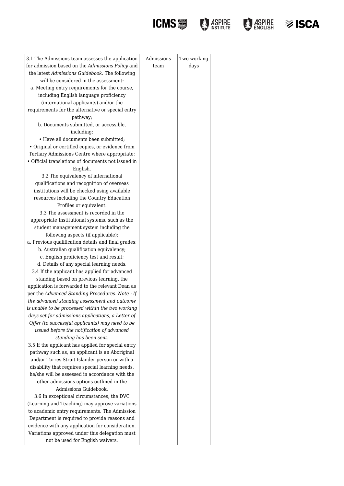





| 3.1 The Admissions team assesses the application                                                     | Admissions | Two working |
|------------------------------------------------------------------------------------------------------|------------|-------------|
| for admission based on the Admissions Policy and                                                     | team       | days        |
| the latest Admissions Guidebook. The following                                                       |            |             |
| will be considered in the assessment:                                                                |            |             |
| a. Meeting entry requirements for the course,                                                        |            |             |
| including English language proficiency                                                               |            |             |
| (international applicants) and/or the                                                                |            |             |
| requirements for the alternative or special entry                                                    |            |             |
| pathway;                                                                                             |            |             |
| b. Documents submitted, or accessible,                                                               |            |             |
| including:                                                                                           |            |             |
| • Have all documents been submitted;                                                                 |            |             |
| · Original or certified copies, or evidence from                                                     |            |             |
| Tertiary Admissions Centre where appropriate;                                                        |            |             |
| • Official translations of documents not issued in                                                   |            |             |
| English.                                                                                             |            |             |
| 3.2 The equivalency of international                                                                 |            |             |
| qualifications and recognition of overseas                                                           |            |             |
| institutions will be checked using available                                                         |            |             |
| resources including the Country Education                                                            |            |             |
| Profiles or equivalent.                                                                              |            |             |
| 3.3 The assessment is recorded in the                                                                |            |             |
| appropriate Institutional systems, such as the                                                       |            |             |
| student management system including the                                                              |            |             |
| following aspects (if applicable):                                                                   |            |             |
| a. Previous qualification details and final grades;                                                  |            |             |
| b. Australian qualification equivalency;                                                             |            |             |
| c. English proficiency test and result;                                                              |            |             |
| d. Details of any special learning needs.                                                            |            |             |
| 3.4 If the applicant has applied for advanced                                                        |            |             |
| standing based on previous learning, the                                                             |            |             |
| application is forwarded to the relevant Dean as                                                     |            |             |
| per the Advanced Standing Procedures. Note : If                                                      |            |             |
| the advanced standing assessment and outcome                                                         |            |             |
| is unable to be processed within the two working                                                     |            |             |
| days set for admissions applications, a Letter of<br>Offer (to successful applicants) may need to be |            |             |
| issued before the notification of advanced                                                           |            |             |
| standing has been sent.                                                                              |            |             |
| 3.5 If the applicant has applied for special entry                                                   |            |             |
| pathway such as, an applicant is an Aboriginal                                                       |            |             |
| and/or Torres Strait Islander person or with a                                                       |            |             |
| disability that requires special learning needs,                                                     |            |             |
| he/she will be assessed in accordance with the                                                       |            |             |
| other admissions options outlined in the                                                             |            |             |
| Admissions Guidebook.                                                                                |            |             |
| 3.6 In exceptional circumstances, the DVC                                                            |            |             |
| (Learning and Teaching) may approve variations                                                       |            |             |
| to academic entry requirements. The Admission                                                        |            |             |
| Department is required to provide reasons and                                                        |            |             |
| evidence with any application for consideration.                                                     |            |             |
| Variations approved under this delegation must                                                       |            |             |
| not be used for English waivers.                                                                     |            |             |
|                                                                                                      |            |             |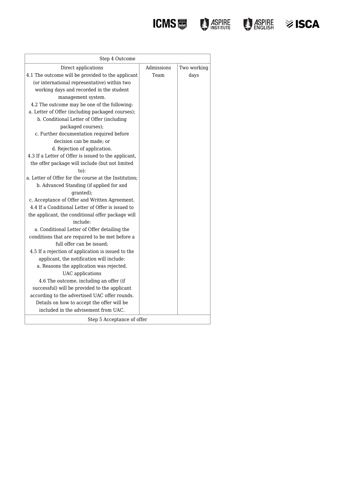**ICMS D** ASPIRE **D** ASPIRE



| ≫ ISCA |
|--------|
|        |

| Step 4 Outcome                                        |            |             |
|-------------------------------------------------------|------------|-------------|
| Direct applications                                   | Admissions | Two working |
| 4.1 The outcome will be provided to the applicant     | Team       | days        |
| (or international representative) within two          |            |             |
| working days and recorded in the student              |            |             |
| management system.                                    |            |             |
| 4.2 The outcome may be one of the following:          |            |             |
| a. Letter of Offer (including packaged courses);      |            |             |
| b. Conditional Letter of Offer (including             |            |             |
| packaged courses);                                    |            |             |
| c. Further documentation required before              |            |             |
| decision can be made; or                              |            |             |
| d. Rejection of application.                          |            |             |
| 4.3 If a Letter of Offer is issued to the applicant,  |            |             |
| the offer package will include (but not limited       |            |             |
| $to$ :                                                |            |             |
| a. Letter of Offer for the course at the Institution: |            |             |
| b. Advanced Standing (if applied for and              |            |             |
| granted);                                             |            |             |
| c. Acceptance of Offer and Written Agreement.         |            |             |
| 4.4 If a Conditional Letter of Offer is issued to     |            |             |
| the applicant, the conditional offer package will     |            |             |
| include:                                              |            |             |
| a. Conditional Letter of Offer detailing the          |            |             |
| conditions that are required to be met before a       |            |             |
| full offer can be issued;                             |            |             |
| 4.5 If a rejection of application is issued to the    |            |             |
| applicant, the notification will include:             |            |             |
| a. Reasons the application was rejected.              |            |             |
| UAC applications                                      |            |             |
| 4.6 The outcome, including an offer (if               |            |             |
| successful) will be provided to the applicant         |            |             |
| according to the advertised UAC offer rounds.         |            |             |
| Details on how to accept the offer will be            |            |             |
| included in the advisement from UAC.                  |            |             |
| Step 5 Acceptance of offer                            |            |             |
|                                                       |            |             |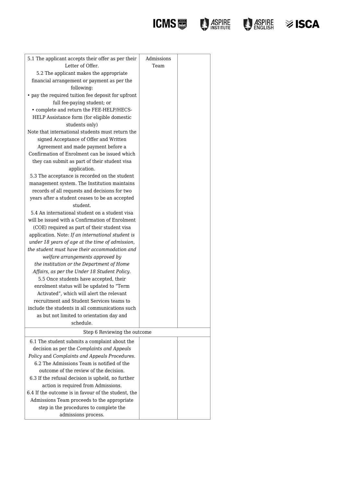

## **ICMS DESCRIPTION DESCRIPTION OF ASPIRE 32 ISCA**

| 5.1 The applicant accepts their offer as per their  | Admissions |  |
|-----------------------------------------------------|------------|--|
| Letter of Offer.                                    | Team       |  |
| 5.2 The applicant makes the appropriate             |            |  |
| financial arrangement or payment as per the         |            |  |
| following:                                          |            |  |
| • pay the required tuition fee deposit for upfront  |            |  |
| full fee-paying student; or                         |            |  |
| • complete and return the FEE-HELP/HECS-            |            |  |
| HELP Assistance form (for eligible domestic         |            |  |
| students only)                                      |            |  |
| Note that international students must return the    |            |  |
| signed Acceptance of Offer and Written              |            |  |
| Agreement and made payment before a                 |            |  |
| Confirmation of Enrolment can be issued which       |            |  |
| they can submit as part of their student visa       |            |  |
| application.                                        |            |  |
| 5.3 The acceptance is recorded on the student       |            |  |
| management system. The Institution maintains        |            |  |
| records of all requests and decisions for two       |            |  |
| years after a student ceases to be an accepted      |            |  |
| student.                                            |            |  |
| 5.4 An international student on a student visa      |            |  |
| will be issued with a Confirmation of Enrolment     |            |  |
| (COE) required as part of their student visa        |            |  |
| application. Note: If an international student is   |            |  |
| under 18 years of age at the time of admission,     |            |  |
| the student must have their accommodation and       |            |  |
| welfare arrangements approved by                    |            |  |
| the institution or the Department of Home           |            |  |
| Affairs, as per the Under 18 Student Policy.        |            |  |
| 5.5 Once students have accepted, their              |            |  |
| enrolment status will be updated to "Term           |            |  |
| Activated", which will alert the relevant           |            |  |
| recruitment and Student Services teams to           |            |  |
| include the students in all communications such     |            |  |
| as but not limited to orientation day and           |            |  |
| schedule.                                           |            |  |
| Step 6 Reviewing the outcome                        |            |  |
| 6.1 The student submits a complaint about the       |            |  |
| decision as per the Complaints and Appeals          |            |  |
| Policy and Complaints and Appeals Procedures.       |            |  |
| 6.2 The Admissions Team is notified of the          |            |  |
| outcome of the review of the decision.              |            |  |
| 6.3 If the refusal decision is upheld, no further   |            |  |
| action is required from Admissions.                 |            |  |
| 6.4 If the outcome is in favour of the student, the |            |  |
| Admissions Team proceeds to the appropriate         |            |  |
| step in the procedures to complete the              |            |  |
| admissions process.                                 |            |  |
|                                                     |            |  |